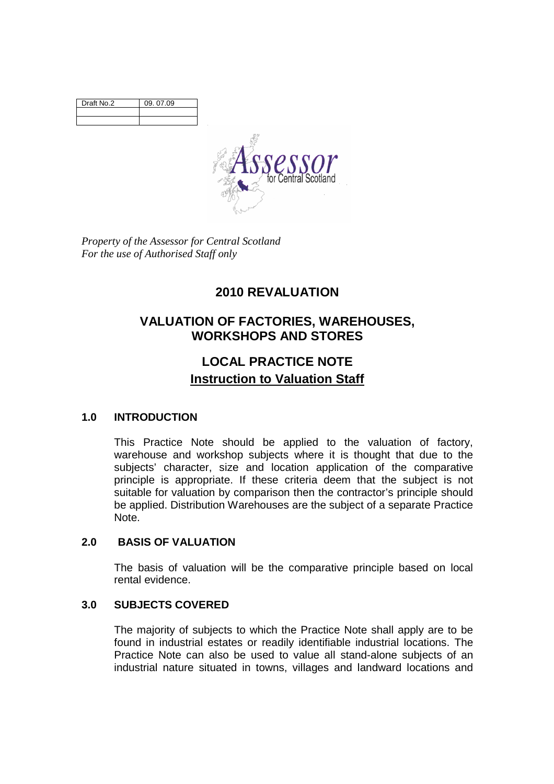| Draft No.2 | 09. 07.09 |
|------------|-----------|
|            |           |
|            |           |



*Property of the Assessor for Central Scotland For the use of Authorised Staff only* 

# **2010 REVALUATION**

## **VALUATION OF FACTORIES, WAREHOUSES, WORKSHOPS AND STORES**

# **LOCAL PRACTICE NOTE Instruction to Valuation Staff**

## **1.0 INTRODUCTION**

This Practice Note should be applied to the valuation of factory, warehouse and workshop subjects where it is thought that due to the subjects' character, size and location application of the comparative principle is appropriate. If these criteria deem that the subject is not suitable for valuation by comparison then the contractor's principle should be applied. Distribution Warehouses are the subject of a separate Practice Note.

## **2.0 BASIS OF VALUATION**

The basis of valuation will be the comparative principle based on local rental evidence.

## **3.0 SUBJECTS COVERED**

The majority of subjects to which the Practice Note shall apply are to be found in industrial estates or readily identifiable industrial locations. The Practice Note can also be used to value all stand-alone subjects of an industrial nature situated in towns, villages and landward locations and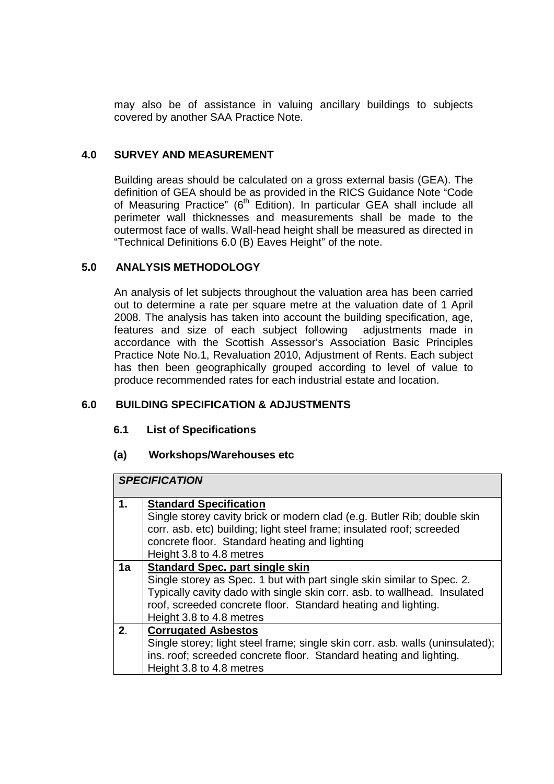may also be of assistance in valuing ancillary buildings to subjects covered by another SAA Practice Note.

## **4.0 SURVEY AND MEASUREMENT**

Building areas should be calculated on a gross external basis (GEA). The definition of GEA should be as provided in the RICS Guidance Note "Code of Measuring Practice" (6<sup>th</sup> Edition). In particular GEA shall include all perimeter wall thicknesses and measurements shall be made to the outermost face of walls. Wall-head height shall be measured as directed in "Technical Definitions 6.0 (B) Eaves Height" of the note.

## **5.0 ANALYSIS METHODOLOGY**

An analysis of let subjects throughout the valuation area has been carried out to determine a rate per square metre at the valuation date of 1 April 2008. The analysis has taken into account the building specification, age, features and size of each subject following adjustments made in accordance with the Scottish Assessor's Association Basic Principles Practice Note No.1, Revaluation 2010, Adjustment of Rents. Each subject has then been geographically grouped according to level of value to produce recommended rates for each industrial estate and location.

## **6.0 BUILDING SPECIFICATION & ADJUSTMENTS**

## **6.1 List of Specifications**

## **(a) Workshops/Warehouses etc**

|               | <b>SPECIFICATION</b>                                                                                                                                                                                                                                                                      |  |  |
|---------------|-------------------------------------------------------------------------------------------------------------------------------------------------------------------------------------------------------------------------------------------------------------------------------------------|--|--|
| $\mathbf 1$ . | <b>Standard Specification</b><br>Single storey cavity brick or modern clad (e.g. Butler Rib; double skin<br>corr. asb. etc) building; light steel frame; insulated roof; screeded<br>concrete floor. Standard heating and lighting<br>Height 3.8 to 4.8 metres                            |  |  |
| 1a            | <b>Standard Spec. part single skin</b><br>Single storey as Spec. 1 but with part single skin similar to Spec. 2.<br>Typically cavity dado with single skin corr. asb. to wallhead. Insulated<br>roof, screeded concrete floor. Standard heating and lighting.<br>Height 3.8 to 4.8 metres |  |  |
| 2.            | <b>Corrugated Asbestos</b><br>Single storey; light steel frame; single skin corr. asb. walls (uninsulated);<br>ins. roof; screeded concrete floor. Standard heating and lighting.<br>Height 3.8 to 4.8 metres                                                                             |  |  |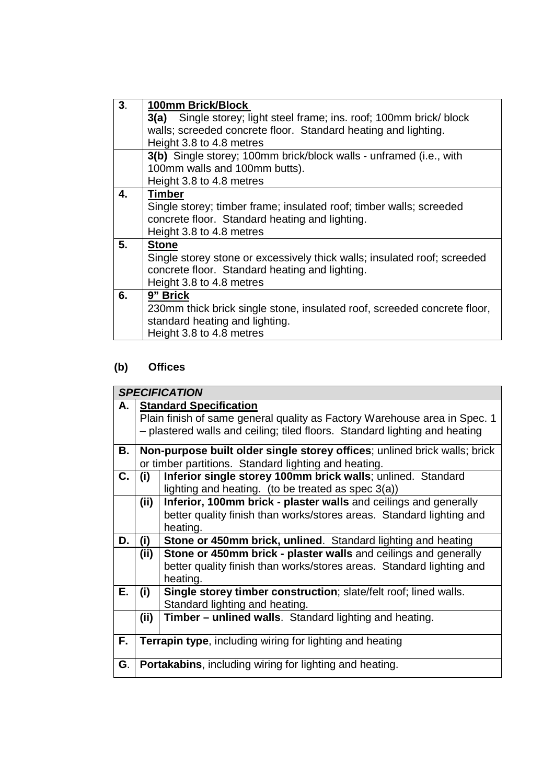| 3 <sub>1</sub> | 100mm Brick/Block                                                        |  |  |
|----------------|--------------------------------------------------------------------------|--|--|
|                | 3(a) Single storey; light steel frame; ins. roof; 100mm brick/ block     |  |  |
|                | walls; screeded concrete floor. Standard heating and lighting.           |  |  |
|                | Height 3.8 to 4.8 metres                                                 |  |  |
|                | 3(b) Single storey; 100mm brick/block walls - unframed (i.e., with       |  |  |
|                | 100mm walls and 100mm butts).                                            |  |  |
|                | Height 3.8 to 4.8 metres                                                 |  |  |
| 4.             | <b>Timber</b>                                                            |  |  |
|                | Single storey; timber frame; insulated roof; timber walls; screeded      |  |  |
|                | concrete floor. Standard heating and lighting.                           |  |  |
|                | Height 3.8 to 4.8 metres                                                 |  |  |
| 5.             | <b>Stone</b>                                                             |  |  |
|                | Single storey stone or excessively thick walls; insulated roof; screeded |  |  |
|                | concrete floor. Standard heating and lighting.                           |  |  |
|                | Height 3.8 to 4.8 metres                                                 |  |  |
| 6.             | 9" Brick                                                                 |  |  |
|                | 230mm thick brick single stone, insulated roof, screeded concrete floor, |  |  |
|                | standard heating and lighting.                                           |  |  |
|                | Height 3.8 to 4.8 metres                                                 |  |  |

# **(b) Offices**

|      | <b>SPECIFICATION</b>                                                       |                                                                           |  |
|------|----------------------------------------------------------------------------|---------------------------------------------------------------------------|--|
| A. I |                                                                            | <b>Standard Specification</b>                                             |  |
|      | Plain finish of same general quality as Factory Warehouse area in Spec. 1  |                                                                           |  |
|      | - plastered walls and ceiling; tiled floors. Standard lighting and heating |                                                                           |  |
| В.   |                                                                            | Non-purpose built older single storey offices; unlined brick walls; brick |  |
|      |                                                                            | or timber partitions. Standard lighting and heating.                      |  |
| С.   | (i)                                                                        | Inferior single storey 100mm brick walls; unlined. Standard               |  |
|      |                                                                            | lighting and heating. (to be treated as spec 3(a))                        |  |
|      | (ii)                                                                       | Inferior, 100mm brick - plaster walls and ceilings and generally          |  |
|      |                                                                            | better quality finish than works/stores areas. Standard lighting and      |  |
|      |                                                                            | heating.                                                                  |  |
| D.   | (i)                                                                        | Stone or 450mm brick, unlined. Standard lighting and heating              |  |
|      | (ii)                                                                       | Stone or 450mm brick - plaster walls and ceilings and generally           |  |
|      |                                                                            | better quality finish than works/stores areas. Standard lighting and      |  |
|      |                                                                            | heating.                                                                  |  |
| Е.   | (i)                                                                        | <b>Single storey timber construction</b> ; slate/felt roof; lined walls.  |  |
|      |                                                                            | Standard lighting and heating.                                            |  |
|      | (ii)                                                                       | <b>Timber – unlined walls.</b> Standard lighting and heating.             |  |
|      |                                                                            |                                                                           |  |
| F.   | <b>Terrapin type, including wiring for lighting and heating</b>            |                                                                           |  |
|      |                                                                            |                                                                           |  |
| G.   | <b>Portakabins, including wiring for lighting and heating.</b>             |                                                                           |  |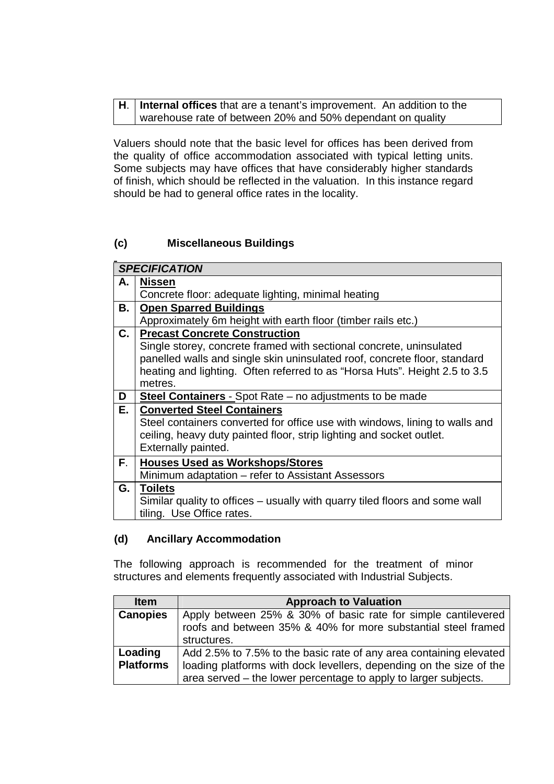| $H.$ Internal offices that are a tenant's improvement. An addition to the |
|---------------------------------------------------------------------------|
| warehouse rate of between 20% and 50% dependant on quality                |

Valuers should note that the basic level for offices has been derived from the quality of office accommodation associated with typical letting units. Some subjects may have offices that have considerably higher standards of finish, which should be reflected in the valuation. In this instance regard should be had to general office rates in the locality.

## **(c) Miscellaneous Buildings**

|      | <b>SPECIFICATION</b>                                                        |  |
|------|-----------------------------------------------------------------------------|--|
| А.   | <b>Nissen</b>                                                               |  |
|      | Concrete floor: adequate lighting, minimal heating                          |  |
| В.   | <b>Open Sparred Buildings</b>                                               |  |
|      | Approximately 6m height with earth floor (timber rails etc.)                |  |
| C.   | <b>Precast Concrete Construction</b>                                        |  |
|      | Single storey, concrete framed with sectional concrete, uninsulated         |  |
|      | panelled walls and single skin uninsulated roof, concrete floor, standard   |  |
|      | heating and lighting. Often referred to as "Horsa Huts". Height 2.5 to 3.5  |  |
|      | metres.                                                                     |  |
| D    | <b>Steel Containers</b> - Spot Rate – no adjustments to be made             |  |
| Е.   | <b>Converted Steel Containers</b>                                           |  |
|      | Steel containers converted for office use with windows, lining to walls and |  |
|      | ceiling, heavy duty painted floor, strip lighting and socket outlet.        |  |
|      | Externally painted.                                                         |  |
| F.   | <b>Houses Used as Workshops/Stores</b>                                      |  |
|      | Minimum adaptation - refer to Assistant Assessors                           |  |
| G. I | <b>Toilets</b>                                                              |  |
|      | Similar quality to offices – usually with quarry tiled floors and some wall |  |
|      | tiling. Use Office rates.                                                   |  |

## **(d) Ancillary Accommodation**

The following approach is recommended for the treatment of minor structures and elements frequently associated with Industrial Subjects.

| <b>Item</b>                 | <b>Approach to Valuation</b>                                                                                                                                                                                 |  |
|-----------------------------|--------------------------------------------------------------------------------------------------------------------------------------------------------------------------------------------------------------|--|
| <b>Canopies</b>             | Apply between 25% & 30% of basic rate for simple cantilevered<br>roofs and between 35% & 40% for more substantial steel framed<br>structures.                                                                |  |
| Loading<br><b>Platforms</b> | Add 2.5% to 7.5% to the basic rate of any area containing elevated<br>loading platforms with dock levellers, depending on the size of the<br>area served – the lower percentage to apply to larger subjects. |  |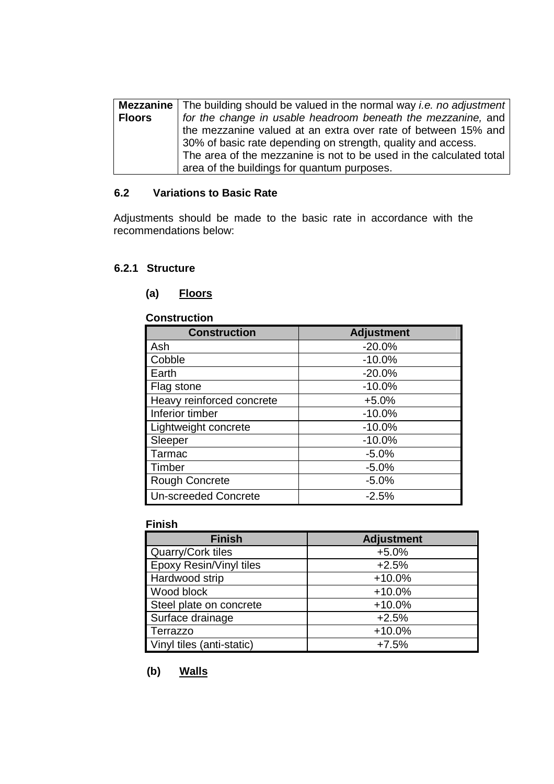|               | <b>Mezzanine</b> The building should be valued in the normal way <i>i.e. no adjustment</i> |  |
|---------------|--------------------------------------------------------------------------------------------|--|
| <b>Floors</b> | for the change in usable headroom beneath the mezzanine, and                               |  |
|               | the mezzanine valued at an extra over rate of between 15% and                              |  |
|               | 30% of basic rate depending on strength, quality and access.                               |  |
|               | The area of the mezzanine is not to be used in the calculated total                        |  |
|               | area of the buildings for quantum purposes.                                                |  |

## **6.2 Variations to Basic Rate**

Adjustments should be made to the basic rate in accordance with the recommendations below:

#### **6.2.1 Structure**

#### **(a) Floors**

#### **Construction**

| <b>Construction</b>         | <b>Adjustment</b> |
|-----------------------------|-------------------|
| Ash                         | $-20.0%$          |
| Cobble                      | $-10.0%$          |
| Earth                       | $-20.0%$          |
| Flag stone                  | $-10.0%$          |
| Heavy reinforced concrete   | $+5.0%$           |
| Inferior timber             | $-10.0%$          |
| Lightweight concrete        | $-10.0%$          |
| Sleeper                     | $-10.0%$          |
| Tarmac                      | $-5.0%$           |
| Timber                      | $-5.0%$           |
| <b>Rough Concrete</b>       | $-5.0%$           |
| <b>Un-screeded Concrete</b> | $-2.5%$           |

#### **Finish**

| <b>Finish</b>             | <b>Adjustment</b> |
|---------------------------|-------------------|
| Quarry/Cork tiles         | $+5.0%$           |
| Epoxy Resin/Vinyl tiles   | $+2.5%$           |
| Hardwood strip            | $+10.0%$          |
| Wood block                | $+10.0%$          |
| Steel plate on concrete   | $+10.0%$          |
| Surface drainage          | $+2.5%$           |
| Terrazzo                  | $+10.0%$          |
| Vinyl tiles (anti-static) | $+7.5%$           |

## **(b) Walls**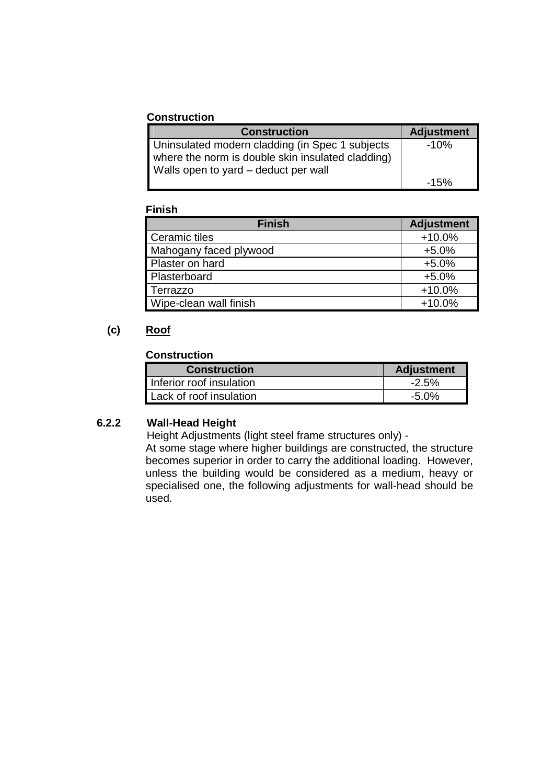#### **Construction**

| <b>Construction</b>                               | <b>Adjustment</b> |
|---------------------------------------------------|-------------------|
| Uninsulated modern cladding (in Spec 1 subjects   | $-10%$            |
| where the norm is double skin insulated cladding) |                   |
| Walls open to yard – deduct per wall              |                   |
|                                                   | $-15%$            |

#### **Finish**

| <b>Finish</b>          | <b>Adjustment</b> |
|------------------------|-------------------|
| Ceramic tiles          | $+10.0%$          |
| Mahogany faced plywood | $+5.0%$           |
| Plaster on hard        | $+5.0%$           |
| Plasterboard           | $+5.0%$           |
| Terrazzo               | $+10.0%$          |
| Wipe-clean wall finish | $+10.0%$          |

## **(c) Roof**

## **Construction**

| <b>Construction</b>      | <b>Adjustment</b> |
|--------------------------|-------------------|
| Inferior roof insulation | $-2.5\%$          |
| Lack of roof insulation  | $-5.0\%$          |

## **6.2.2 Wall-Head Height**

Height Adjustments (light steel frame structures only) -

At some stage where higher buildings are constructed, the structure becomes superior in order to carry the additional loading. However, unless the building would be considered as a medium, heavy or specialised one, the following adjustments for wall-head should be used.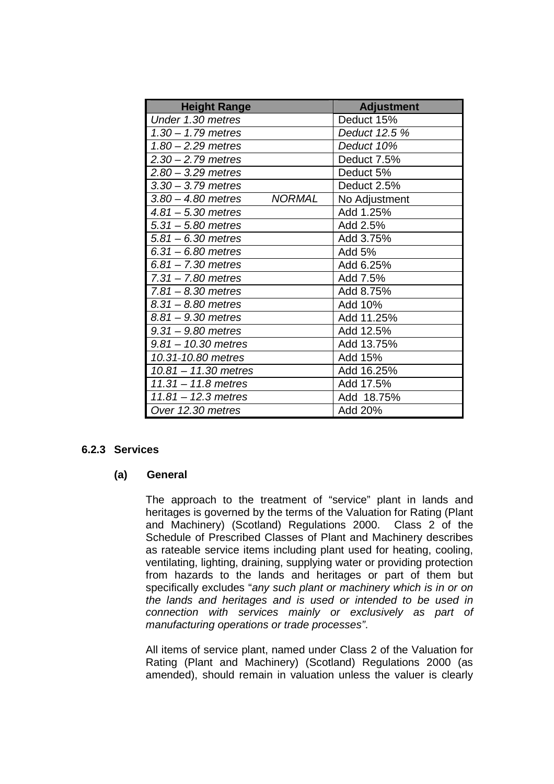| <b>Height Range</b>    |               | <b>Adjustment</b> |
|------------------------|---------------|-------------------|
| Under 1.30 metres      |               | Deduct 15%        |
| $1.30 - 1.79$ metres   |               | Deduct 12.5 %     |
| $1.80 - 2.29$ metres   |               | Deduct 10%        |
| $2.30 - 2.79$ metres   |               | Deduct 7.5%       |
| $2.80 - 3.29$ metres   |               | Deduct 5%         |
| $3.30 - 3.79$ metres   |               | Deduct 2.5%       |
| $3.80 - 4.80$ metres   | <b>NORMAL</b> | No Adjustment     |
| $4.81 - 5.30$ metres   |               | Add 1.25%         |
| $5.31 - 5.80$ metres   |               | Add 2.5%          |
| $5.81 - 6.30$ metres   |               | Add 3.75%         |
| $6.31 - 6.80$ metres   |               | Add 5%            |
| $6.81 - 7.30$ metres   |               | Add 6.25%         |
| $7.31 - 7.80$ metres   |               | Add 7.5%          |
| $7.81 - 8.30$ metres   |               | Add 8.75%         |
| $8.31 - 8.80$ metres   |               | Add 10%           |
| $8.81 - 9.30$ metres   |               | Add 11.25%        |
| $9.31 - 9.80$ metres   |               | Add 12.5%         |
| $9.81 - 10.30$ metres  |               | Add 13.75%        |
| 10.31-10.80 metres     |               | Add 15%           |
| $10.81 - 11.30$ metres |               | Add 16.25%        |
| $11.31 - 11.8$ metres  |               | Add 17.5%         |
| $11.81 - 12.3$ metres  |               | Add 18.75%        |
| Over 12.30 metres      |               | Add 20%           |

#### **6.2.3 Services**

#### **(a) General**

The approach to the treatment of "service" plant in lands and heritages is governed by the terms of the Valuation for Rating (Plant and Machinery) (Scotland) Regulations 2000. Class 2 of the Schedule of Prescribed Classes of Plant and Machinery describes as rateable service items including plant used for heating, cooling, ventilating, lighting, draining, supplying water or providing protection from hazards to the lands and heritages or part of them but specifically excludes "any such plant or machinery which is in or on the lands and heritages and is used or intended to be used in connection with services mainly or exclusively as part of manufacturing operations or trade processes".

All items of service plant, named under Class 2 of the Valuation for Rating (Plant and Machinery) (Scotland) Regulations 2000 (as amended), should remain in valuation unless the valuer is clearly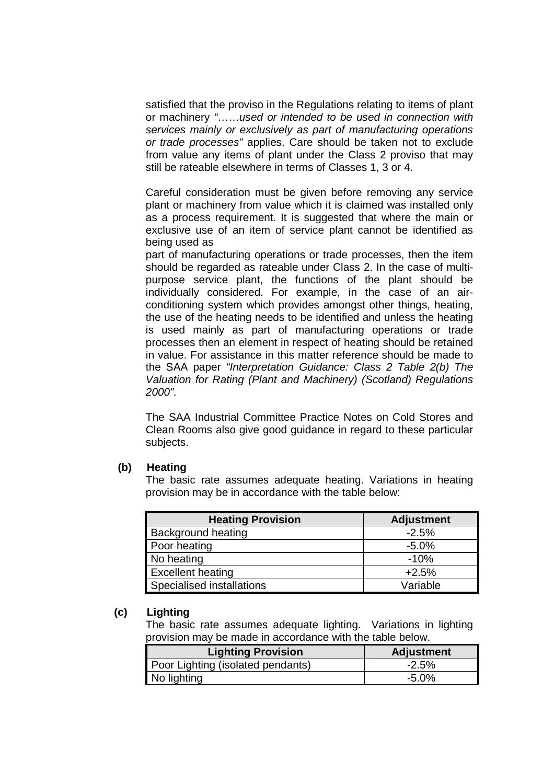satisfied that the proviso in the Regulations relating to items of plant or machinery "……used or intended to be used in connection with services mainly or exclusively as part of manufacturing operations or trade processes" applies. Care should be taken not to exclude from value any items of plant under the Class 2 proviso that may still be rateable elsewhere in terms of Classes 1, 3 or 4.

Careful consideration must be given before removing any service plant or machinery from value which it is claimed was installed only as a process requirement. It is suggested that where the main or exclusive use of an item of service plant cannot be identified as being used as

part of manufacturing operations or trade processes, then the item should be regarded as rateable under Class 2. In the case of multipurpose service plant, the functions of the plant should be individually considered. For example, in the case of an airconditioning system which provides amongst other things, heating, the use of the heating needs to be identified and unless the heating is used mainly as part of manufacturing operations or trade processes then an element in respect of heating should be retained in value. For assistance in this matter reference should be made to the SAA paper "Interpretation Guidance: Class 2 Table 2(b) The Valuation for Rating (Plant and Machinery) (Scotland) Regulations 2000".

The SAA Industrial Committee Practice Notes on Cold Stores and Clean Rooms also give good guidance in regard to these particular subjects.

#### **(b) Heating**

The basic rate assumes adequate heating. Variations in heating provision may be in accordance with the table below:

| <b>Heating Provision</b>  | <b>Adjustment</b> |  |  |
|---------------------------|-------------------|--|--|
| <b>Background heating</b> | $-2.5%$           |  |  |
| Poor heating              | $-5.0%$           |  |  |
| No heating                | $-10%$            |  |  |
| <b>Excellent heating</b>  | $+2.5%$           |  |  |
| Specialised installations | Variable          |  |  |

#### **(c) Lighting**

The basic rate assumes adequate lighting. Variations in lighting provision may be made in accordance with the table below.

| <b>Lighting Provision</b>         | Adjustment |
|-----------------------------------|------------|
| Poor Lighting (isolated pendants) | $-2.5%$    |
| No lighting                       | -5.0%      |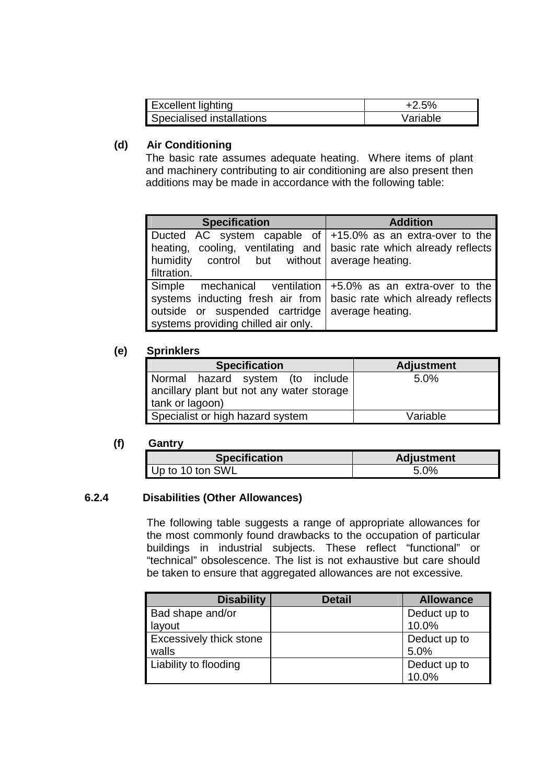| Excellent lighting               | $+2.5%$  |
|----------------------------------|----------|
| <b>Specialised installations</b> | Variable |

## **(d) Air Conditioning**

The basic rate assumes adequate heating. Where items of plant and machinery contributing to air conditioning are also present then additions may be made in accordance with the following table:

| <b>Specification</b>                                                                                                                                                                                          | <b>Addition</b>  |  |  |
|---------------------------------------------------------------------------------------------------------------------------------------------------------------------------------------------------------------|------------------|--|--|
| Ducted AC system capable of $ +15.0\%$ as an extra-over to the<br>heating, cooling, ventilating and basic rate which already reflects                                                                         |                  |  |  |
| control but without average heating.<br>humidity<br>filtration.                                                                                                                                               |                  |  |  |
| Simple mechanical ventilation $+5.0\%$ as an extra-over to the<br>systems inducting fresh air from basic rate which already reflects<br>outside or suspended cartridge<br>systems providing chilled air only. | average heating. |  |  |

## **(e) Sprinklers**

| <b>Specification</b>                                                                             | <b>Adjustment</b> |  |  |
|--------------------------------------------------------------------------------------------------|-------------------|--|--|
| Normal hazard system (to include<br>ancillary plant but not any water storage<br>tank or lagoon) | $5.0\%$           |  |  |
| Specialist or high hazard system                                                                 | Variable          |  |  |

## **(f) Gantry**

| <b>Specification</b> | Adjustment |  |
|----------------------|------------|--|
| Up to 10 ton SWL     | 5.0%       |  |

## **6.2.4 Disabilities (Other Allowances)**

The following table suggests a range of appropriate allowances for the most commonly found drawbacks to the occupation of particular buildings in industrial subjects. These reflect "functional" or "technical" obsolescence. The list is not exhaustive but care should be taken to ensure that aggregated allowances are not excessive.

| <b>Disability</b>              | <b>Detail</b> | <b>Allowance</b> |
|--------------------------------|---------------|------------------|
| Bad shape and/or               |               | Deduct up to     |
| layout                         |               | 10.0%            |
| <b>Excessively thick stone</b> |               | Deduct up to     |
| walls                          |               | 5.0%             |
| Liability to flooding          |               | Deduct up to     |
|                                |               | 10.0%            |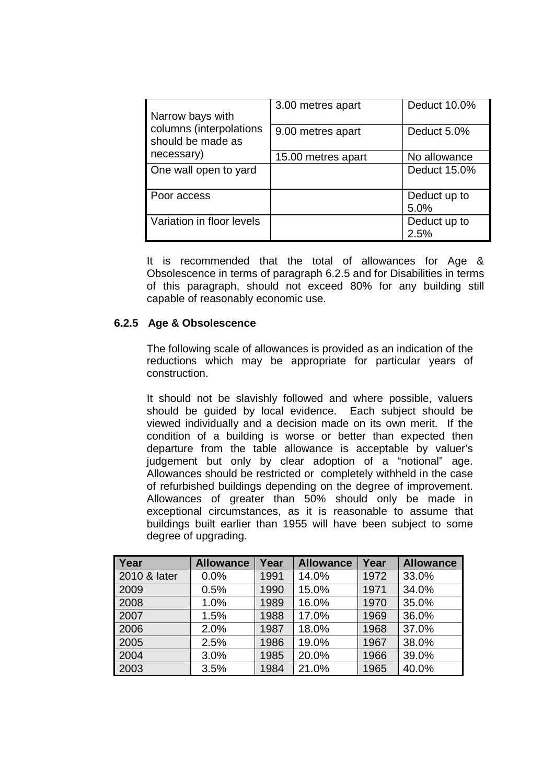| Narrow bays with                             | 3.00 metres apart  | Deduct 10.0% |
|----------------------------------------------|--------------------|--------------|
| columns (interpolations<br>should be made as | 9.00 metres apart  | Deduct 5.0%  |
| necessary)                                   | 15.00 metres apart | No allowance |
| One wall open to yard                        |                    | Deduct 15.0% |
| Poor access                                  |                    | Deduct up to |
|                                              |                    | 5.0%         |
| Variation in floor levels                    |                    | Deduct up to |
|                                              |                    | 2.5%         |

It is recommended that the total of allowances for Age & Obsolescence in terms of paragraph 6.2.5 and for Disabilities in terms of this paragraph, should not exceed 80% for any building still capable of reasonably economic use.

## **6.2.5 Age & Obsolescence**

The following scale of allowances is provided as an indication of the reductions which may be appropriate for particular years of construction.

 It should not be slavishly followed and where possible, valuers should be guided by local evidence. Each subject should be viewed individually and a decision made on its own merit. If the condition of a building is worse or better than expected then departure from the table allowance is acceptable by valuer's judgement but only by clear adoption of a "notional" age. Allowances should be restricted or completely withheld in the case of refurbished buildings depending on the degree of improvement. Allowances of greater than 50% should only be made in exceptional circumstances, as it is reasonable to assume that buildings built earlier than 1955 will have been subject to some degree of upgrading.

| Year         | <b>Allowance</b> | Year | <b>Allowance</b> | Year | <b>Allowance</b> |
|--------------|------------------|------|------------------|------|------------------|
| 2010 & later | 0.0%             | 1991 | 14.0%            | 1972 | 33.0%            |
| 2009         | 0.5%             | 1990 | 15.0%            | 1971 | 34.0%            |
| 2008         | 1.0%             | 1989 | 16.0%            | 1970 | 35.0%            |
| 2007         | 1.5%             | 1988 | 17.0%            | 1969 | 36.0%            |
| 2006         | 2.0%             | 1987 | 18.0%            | 1968 | 37.0%            |
| 2005         | 2.5%             | 1986 | 19.0%            | 1967 | 38.0%            |
| 2004         | 3.0%             | 1985 | 20.0%            | 1966 | 39.0%            |
| 2003         | 3.5%             | 1984 | 21.0%            | 1965 | 40.0%            |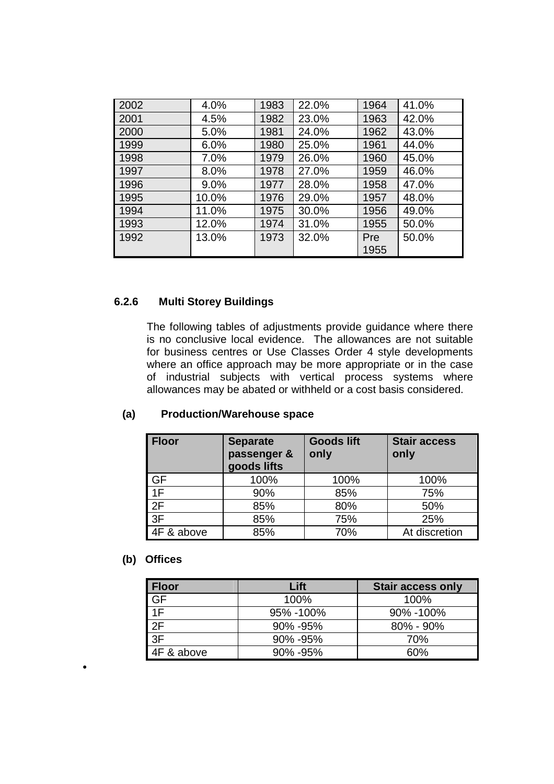| 2002 | 4.0%  | 1983 | 22.0% | 1964 | 41.0% |
|------|-------|------|-------|------|-------|
| 2001 | 4.5%  | 1982 | 23.0% | 1963 | 42.0% |
| 2000 | 5.0%  | 1981 | 24.0% | 1962 | 43.0% |
| 1999 | 6.0%  | 1980 | 25.0% | 1961 | 44.0% |
| 1998 | 7.0%  | 1979 | 26.0% | 1960 | 45.0% |
| 1997 | 8.0%  | 1978 | 27.0% | 1959 | 46.0% |
| 1996 | 9.0%  | 1977 | 28.0% | 1958 | 47.0% |
| 1995 | 10.0% | 1976 | 29.0% | 1957 | 48.0% |
| 1994 | 11.0% | 1975 | 30.0% | 1956 | 49.0% |
| 1993 | 12.0% | 1974 | 31.0% | 1955 | 50.0% |
| 1992 | 13.0% | 1973 | 32.0% | Pre  | 50.0% |
|      |       |      |       | 1955 |       |

## **6.2.6 Multi Storey Buildings**

The following tables of adjustments provide guidance where there is no conclusive local evidence. The allowances are not suitable for business centres or Use Classes Order 4 style developments where an office approach may be more appropriate or in the case of industrial subjects with vertical process systems where allowances may be abated or withheld or a cost basis considered.

## **(a) Production/Warehouse space**

| <b>Floor</b> | <b>Separate</b><br>passenger &<br>goods lifts | <b>Goods lift</b><br>only | <b>Stair access</b><br>only |
|--------------|-----------------------------------------------|---------------------------|-----------------------------|
| <b>GF</b>    | 100%                                          | 100%                      | 100%                        |
| 1F           | 90%                                           | 85%                       | 75%                         |
| 2F           | 85%                                           | 80%                       | 50%                         |
| 3F           | 85%                                           | 75%                       | 25%                         |
| 4F & above   | 85%                                           | 70%                       | At discretion               |

#### **(b) Offices**

| <b>Floor</b>                | Lift          | <b>Stair access only</b> |
|-----------------------------|---------------|--------------------------|
| $rac{\text{GF}}{1\text{F}}$ | 100%          | 100%                     |
|                             | 95% -100%     | 90% - 100%               |
| 2F                          | 90% - 95%     | $80\%$ - $90\%$          |
| 3F                          | 90% -95%      | 70%                      |
| 4F & above                  | $90\% - 95\%$ | 60%                      |

•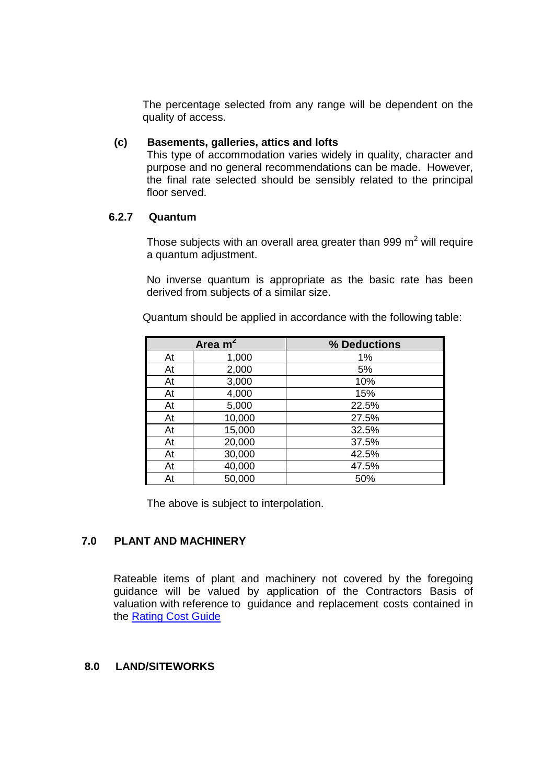The percentage selected from any range will be dependent on the quality of access.

#### **(c) Basements, galleries, attics and lofts**

This type of accommodation varies widely in quality, character and purpose and no general recommendations can be made. However, the final rate selected should be sensibly related to the principal floor served.

#### **6.2.7 Quantum**

Those subjects with an overall area greater than 999  $m^2$  will require a quantum adjustment.

No inverse quantum is appropriate as the basic rate has been derived from subjects of a similar size.

| Area $m^2$ |        | % Deductions |
|------------|--------|--------------|
| At         | 1,000  | 1%           |
| At         | 2,000  | 5%           |
| At         | 3,000  | 10%          |
| At         | 4,000  | 15%          |
| At         | 5,000  | 22.5%        |
| At         | 10,000 | 27.5%        |
| At         | 15,000 | 32.5%        |
| At         | 20,000 | 37.5%        |
| At         | 30,000 | 42.5%        |
| At         | 40,000 | 47.5%        |
| At         | 50,000 | 50%          |

Quantum should be applied in accordance with the following table:

The above is subject to interpolation.

## **7.0 PLANT AND MACHINERY**

Rateable items of plant and machinery not covered by the foregoing guidance will be valued by application of the Contractors Basis of valuation with reference to guidance and replacement costs contained in the Rating Cost Guide

#### **8.0 LAND/SITEWORKS**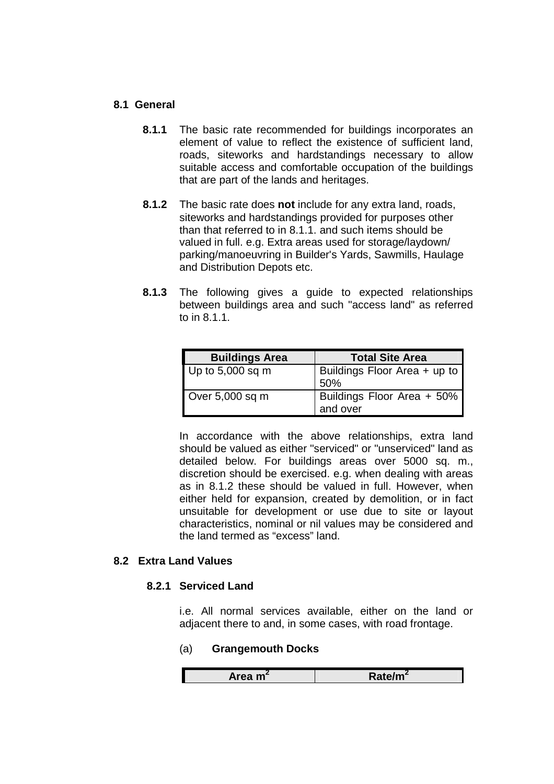#### **8.1 General**

- **8.1.1** The basic rate recommended for buildings incorporates an element of value to reflect the existence of sufficient land, roads, siteworks and hardstandings necessary to allow suitable access and comfortable occupation of the buildings that are part of the lands and heritages.
- **8.1.2** The basic rate does **not** include for any extra land, roads, siteworks and hardstandings provided for purposes other than that referred to in 8.1.1. and such items should be valued in full. e.g. Extra areas used for storage/laydown/ parking/manoeuvring in Builder's Yards, Sawmills, Haulage and Distribution Depots etc.
- **8.1.3** The following gives a guide to expected relationships between buildings area and such "access land" as referred to in 8.1.1.

| <b>Buildings Area</b> | <b>Total Site Area</b>                 |
|-----------------------|----------------------------------------|
| Up to 5,000 sq m      | Buildings Floor Area + up to<br>50%    |
| Over 5,000 sq m       | Buildings Floor Area + 50%<br>and over |

 In accordance with the above relationships, extra land should be valued as either "serviced" or "unserviced" land as detailed below. For buildings areas over 5000 sq. m., discretion should be exercised. e.g. when dealing with areas as in 8.1.2 these should be valued in full. However, when either held for expansion, created by demolition, or in fact unsuitable for development or use due to site or layout characteristics, nominal or nil values may be considered and the land termed as "excess" land.

## **8.2 Extra Land Values**

#### **8.2.1 Serviced Land**

i.e. All normal services available, either on the land or adjacent there to and, in some cases, with road frontage.

## (a) **Grangemouth Docks**

| $A$ raa ma $\sim$<br>-111 | <b>Rale/III</b> |
|---------------------------|-----------------|
|                           |                 |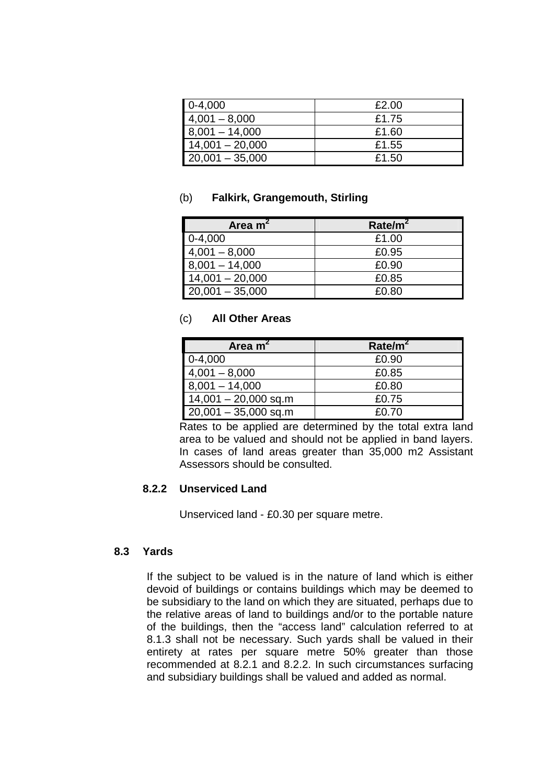| $0-4,000$         | £2.00 |
|-------------------|-------|
| $4,001 - 8,000$   | £1.75 |
| $8,001 - 14,000$  | £1.60 |
| $14,001 - 20,000$ | £1.55 |
| $20,001 - 35,000$ | £1.50 |

#### (b) **Falkirk, Grangemouth, Stirling**

| Area $m2$         | Rate/m <sup>2</sup> |
|-------------------|---------------------|
| $0-4,000$         | £1.00               |
| $4,001 - 8,000$   | £0.95               |
| $8,001 - 14,000$  | £0.90               |
| $14,001 - 20,000$ | £0.85               |
| $20,001 - 35,000$ | £0.80               |

#### (c) **All Other Areas**

| Area $m2$              | Rate/m <sup>2</sup> |
|------------------------|---------------------|
| $0-4,000$              | £0.90               |
| $4,001 - 8,000$        | £0.85               |
| $8,001 - 14,000$       | £0.80               |
| $14,001 - 20,000$ sq.m | £0.75               |
| $20,001 - 35,000$ sq.m | £0.70               |

 Rates to be applied are determined by the total extra land area to be valued and should not be applied in band layers. In cases of land areas greater than 35,000 m2 Assistant Assessors should be consulted.

## **8.2.2 Unserviced Land**

Unserviced land - £0.30 per square metre.

## **8.3 Yards**

If the subject to be valued is in the nature of land which is either devoid of buildings or contains buildings which may be deemed to be subsidiary to the land on which they are situated, perhaps due to the relative areas of land to buildings and/or to the portable nature of the buildings, then the "access land" calculation referred to at 8.1.3 shall not be necessary. Such yards shall be valued in their entirety at rates per square metre 50% greater than those recommended at 8.2.1 and 8.2.2. In such circumstances surfacing and subsidiary buildings shall be valued and added as normal.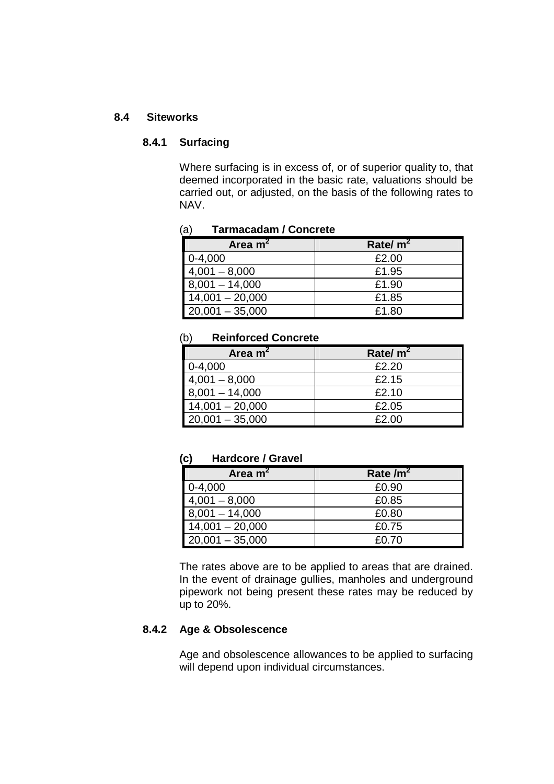#### **8.4 Siteworks**

#### **8.4.1 Surfacing**

Where surfacing is in excess of, or of superior quality to, that deemed incorporated in the basic rate, valuations should be carried out, or adjusted, on the basis of the following rates to NAV.

#### (a) **Tarmacadam / Concrete**

| Area m <sup>2</sup> | Rate/ $m^2$ |
|---------------------|-------------|
| $0-4,000$           | £2.00       |
| $4,001 - 8,000$     | £1.95       |
| $8,001 - 14,000$    | £1.90       |
| $14,001 - 20,000$   | £1.85       |
| $20,001 - 35,000$   | £1.80       |

#### (b) **Reinforced Concrete**

| Area $m2$         | Rate/ $m2$ |
|-------------------|------------|
| $0-4,000$         | £2.20      |
| $4,001 - 8,000$   | £2.15      |
| $8,001 - 14,000$  | £2.10      |
| $14,001 - 20,000$ | £2.05      |
| $20,001 - 35,000$ | £2.00      |

#### **(c) Hardcore / Gravel**

| Area $m2$         | Rate $\text{/m}^2$ |
|-------------------|--------------------|
| $0-4,000$         | £0.90              |
| $4,001 - 8,000$   | £0.85              |
| $8,001 - 14,000$  | £0.80              |
| $14,001 - 20,000$ | £0.75              |
| $20,001 - 35,000$ | £0.70              |

 The rates above are to be applied to areas that are drained. In the event of drainage gullies, manholes and underground pipework not being present these rates may be reduced by up to 20%.

#### **8.4.2 Age & Obsolescence**

Age and obsolescence allowances to be applied to surfacing will depend upon individual circumstances.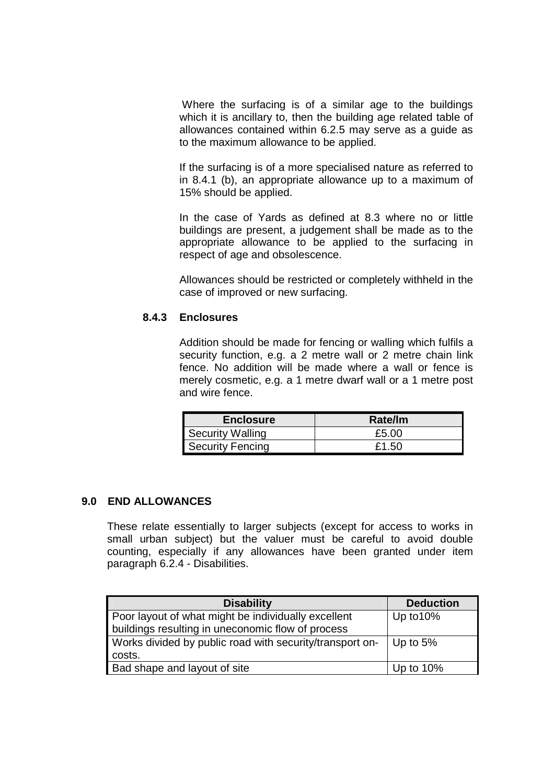Where the surfacing is of a similar age to the buildings which it is ancillary to, then the building age related table of allowances contained within 6.2.5 may serve as a guide as to the maximum allowance to be applied.

 If the surfacing is of a more specialised nature as referred to in 8.4.1 (b), an appropriate allowance up to a maximum of 15% should be applied.

 In the case of Yards as defined at 8.3 where no or little buildings are present, a judgement shall be made as to the appropriate allowance to be applied to the surfacing in respect of age and obsolescence.

 Allowances should be restricted or completely withheld in the case of improved or new surfacing.

#### **8.4.3 Enclosures**

 Addition should be made for fencing or walling which fulfils a security function, e.g. a 2 metre wall or 2 metre chain link fence. No addition will be made where a wall or fence is merely cosmetic, e.g. a 1 metre dwarf wall or a 1 metre post and wire fence.

| <b>Enclosure</b>        | Rate/Im |
|-------------------------|---------|
| <b>Security Walling</b> | £5.00   |
| <b>Security Fencing</b> | £1.50   |

#### **9.0 END ALLOWANCES**

These relate essentially to larger subjects (except for access to works in small urban subject) but the valuer must be careful to avoid double counting, especially if any allowances have been granted under item paragraph 6.2.4 - Disabilities.

| <b>Disability</b>                                        | <b>Deduction</b> |
|----------------------------------------------------------|------------------|
| Poor layout of what might be individually excellent      | Up to 10%        |
| buildings resulting in uneconomic flow of process        |                  |
| Works divided by public road with security/transport on- | Up to $5%$       |
| costs.                                                   |                  |
| Bad shape and layout of site                             | Up to 10%        |